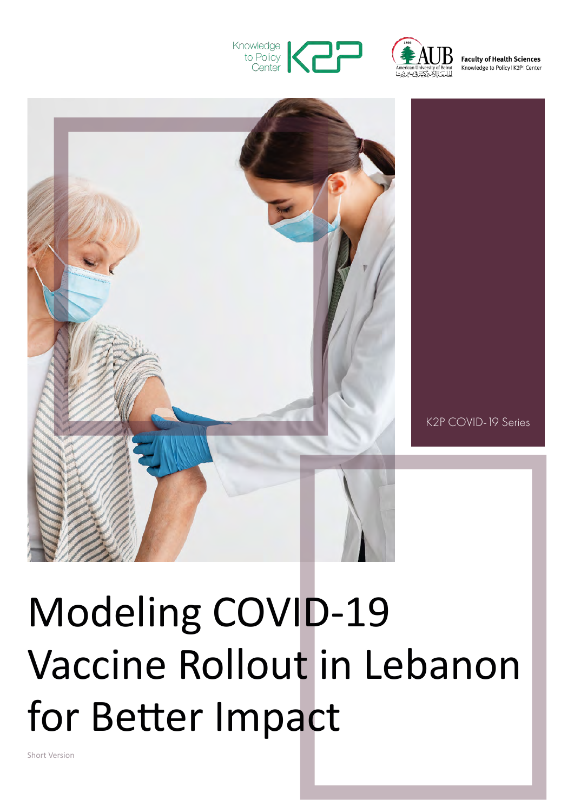



**Faculty of Health Sciences** Knowledge to Policy | K2P | Center



K2P COVID-19 Series

# Modeling COVID-19 Vaccine Rollout in Lebanon for Better Impact

Short Version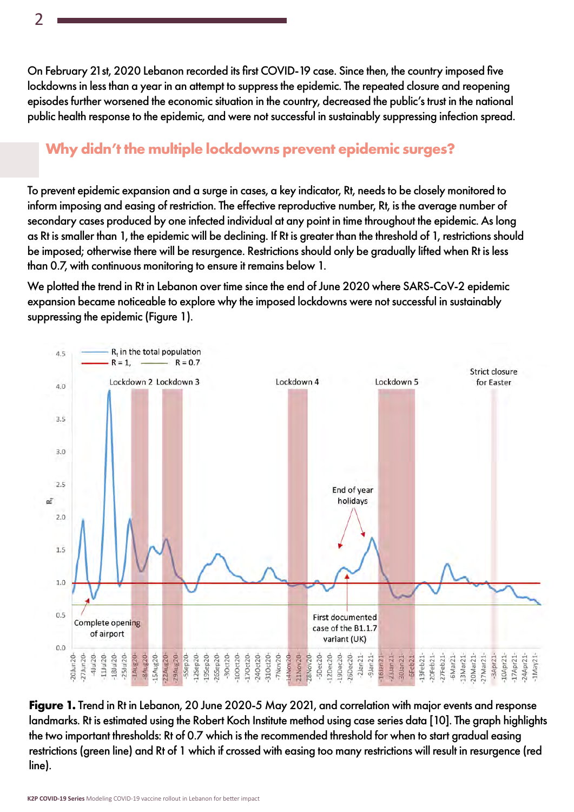On February 21st, 2020 Lebanon recorded its first COVID-19 case. Since then, the country imposed five lockdowns in less than a year in an attempt to suppress the epidemic. The repeated closure and reopening episodes further worsened the economic situation in the country, decreased the public's trust in the national public health response to the epidemic, and were not successful in sustainably suppressing infection spread.

## **Why didn't the multiple lockdowns prevent epidemic surges?**

To prevent epidemic expansion and a surge in cases, a key indicator, Rt, needs to be closely monitored to inform imposing and easing of restriction. The effective reproductive number, Rt, is the average number of secondary cases produced by one infected individual at any point in time throughout the epidemic. As long as Rt is smaller than 1, the epidemic will be declining. If Rt is greater than the threshold of 1, restrictions should be imposed; otherwise there will be resurgence. Restrictions should only be gradually lifted when Rt is less than 0.7, with continuous monitoring to ensure it remains below 1.

We plotted the trend in Rt in Lebanon over time since the end of June 2020 where SARS-CoV-2 epidemic expansion became noticeable to explore why the imposed lockdowns were not successful in sustainably suppressing the epidemic (Figure 1).



**Figure 1.** Trend in Rt in Lebanon, 20 June 2020-5 May 2021, and correlation with major events and response landmarks. Rt is estimated using the Robert Koch Institute method using case series data [10]. The graph highlights the two important thresholds: Rt of 0.7 which is the recommended threshold for when to start gradual easing restrictions (green line) and Rt of 1 which if crossed with easing too many restrictions will result in resurgence (red line).

**K2P COVID-19 Series** Modeling COVID-19 vaccine rollout in Lebanon for better impact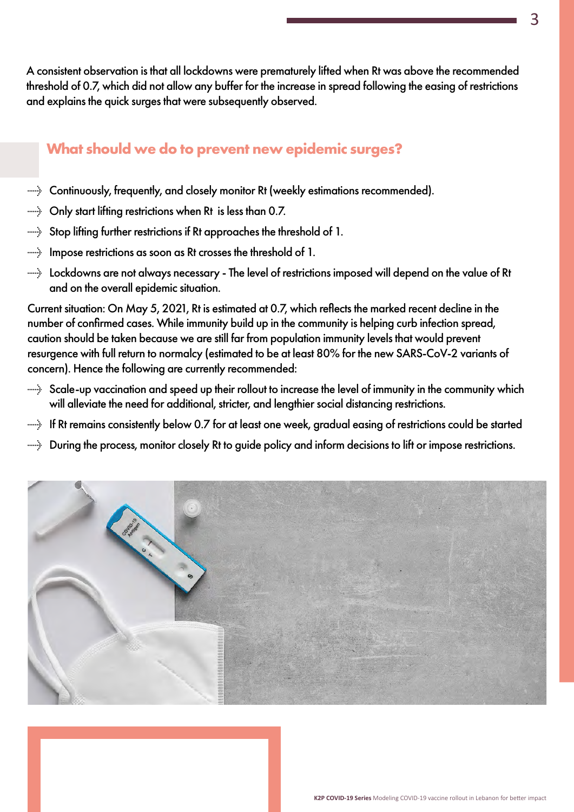A consistent observation is that all lockdowns were prematurely lifted when Rt was above the recommended threshold of 0.7, which did not allow any buffer for the increase in spread following the easing of restrictions and explains the quick surges that were subsequently observed.

# **What should we do to prevent new epidemic surges?**

- $\rightarrow$  Continuously, frequently, and closely monitor Rt (weekly estimations recommended).
- $\rightarrow$  Only start lifting restrictions when Rt is less than 0.7.
- → Stop lifting further restrictions if Rt approaches the threshold of 1.
- $\rightarrow$  Impose restrictions as soon as Rt crosses the threshold of 1.
- $\rightarrow$  Lockdowns are not always necessary The level of restrictions imposed will depend on the value of Rt and on the overall epidemic situation.

Current situation: On May 5, 2021, Rt is estimated at 0.7, which reflects the marked recent decline in the number of confirmed cases. While immunity build up in the community is helping curb infection spread, caution should be taken because we are still far from population immunity levels that would prevent resurgence with full return to normalcy (estimated to be at least 80% for the new SARS-CoV-2 variants of concern). Hence the following are currently recommended:

- $\rightarrow$  Scale-up vaccination and speed up their rollout to increase the level of immunity in the community which will alleviate the need for additional, stricter, and lengthier social distancing restrictions.
- → If Rt remains consistently below 0.7 for at least one week, gradual easing of restrictions could be started
- → During the process, monitor closely Rt to guide policy and inform decisions to lift or impose restrictions.

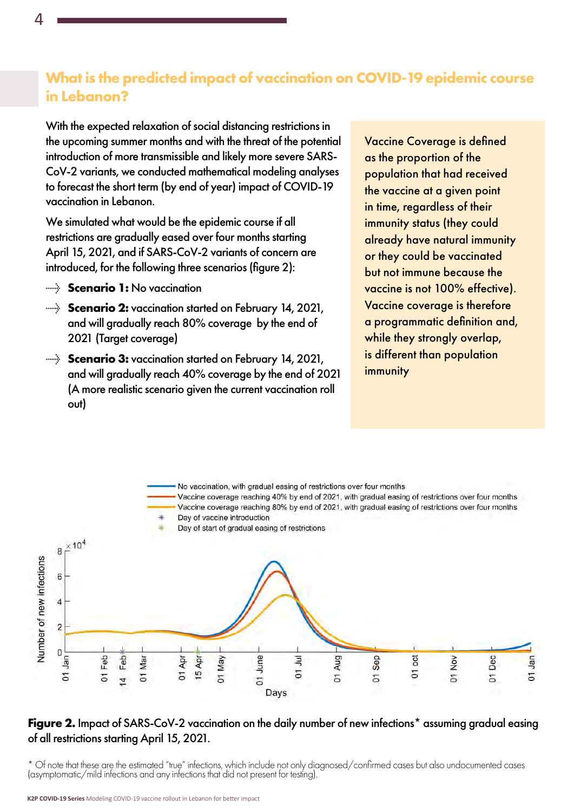## **What is the predicted impact of vaccination on COVID-19 epidemic course in Lebanon?**

With the expected relaxation of social distancing restrictions in the upcoming summer months and with the threat of the potential introduction of more transmissible and likely more severe SARS-CoV-2 variants, we conducted mathematical modeling analyses to forecast the short term (by end of year) impact of COVID-19 vaccination in Lebanon.

We simulated what would be the epidemic course if all restrictions are gradually eased over four months starting April 15, 2021, and if SARS-CoV-2 variants of concern are introduced, for the following three scenarios (figure 2):

- → **Scenario 1:** No vaccination
- **Scenario 2:** vaccination started on February 14, 2021, and will gradually reach 80% coverage by the end of 2021 (Target coverage)
- **Scenario 3:** vaccination started on February 14, 2021, and will gradually reach 40% coverage by the end of 2021 (A more realistic scenario given the current vaccination roll out)

Vaccine Coverage is defined as the proportion of the population that had received the vaccine at a given point in time, regardless of their immunity status (they could already have natural immunity or they could be vaccinated but not immune because the vaccine is not 100% effective). Vaccine coverage is therefore a programmatic definition and, while they strongly overlap, is different than population immunity



#### **Figure 2.** Impact of SARS-CoV-2 vaccination on the daily number of new infections\* assuming gradual easing of all restrictions starting April 15, 2021.

\* Of note that these are the estimated "true" infections, which include not only diagnosed/confirmed cases but also undocumented cases (asymptomatic/mild infections and any infections that did not present for testing).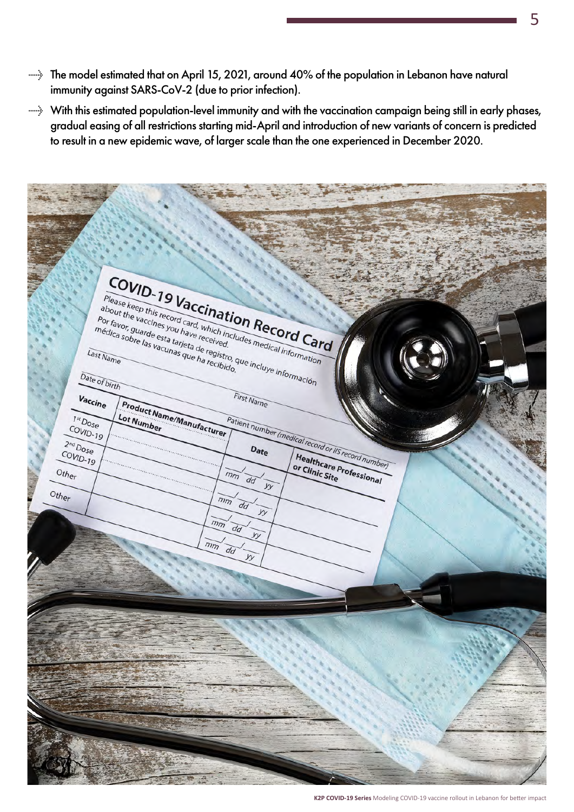- → The model estimated that on April 15, 2021, around 40% of the population in Lebanon have natural immunity against SARS-CoV-2 (due to prior infection).
- → With this estimated population-level immunity and with the vaccination campaign being still in early phases, gradual easing of all restrictions starting mid-April and introduction of new variants of concern is predicted to result in a new epidemic wave, of larger scale than the one experienced in December 2020.

COVID-19 Vaccination Record Card Please keep this record card, which includes medical information Please keep this record card, which included to the vaccines you have received. about the vaccines you have received.<br>
Por favor, guarde esta tarjeta de received.<br>
médica sobre las vacunas que ha received.<br>
ast Name<br>
e of birth Por favor, guarde esta tarjeta de received.<br>
médica sobre las vacunas que ha recibido. Last Name Date of birth First Name  $V_{\text{accine}}$ Product Name/Manufacturer Patient number (medical record or Ils record number) Lot Number  $\overline{I^{st}D_{Ose}}$ COVID-19  $\overline{2^{nd}D_{OSE}}$ COVID-19 Healthcare Professional or Clinic Site Other  $\overline{mn}$  $\overline{d}\overline{d}$  $\overline{w}$ Other  $\overline{mn}$  $\overline{d}$  $\overline{y}$  $\overline{mn}$  $\overline{d}$  $\overline{mn}$  $\overline{d}$ 

**K2P COVID-19 Series** Modeling COVID-19 vaccine rollout in Lebanon for better impact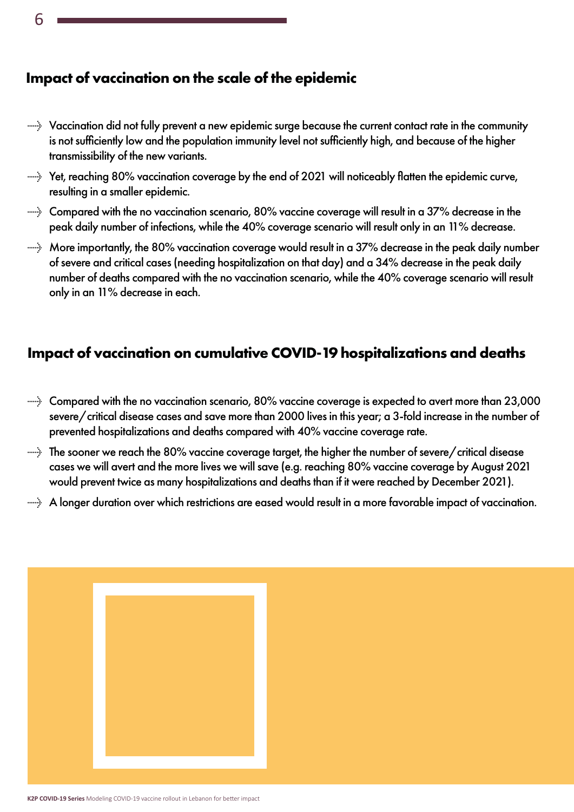6

## **Impact of vaccination on the scale of the epidemic**

- → Vaccination did not fully prevent a new epidemic surge because the current contact rate in the community is not sufficiently low and the population immunity level not sufficiently high, and because of the higher transmissibility of the new variants.
- → Yet, reaching 80% vaccination coverage by the end of 2021 will noticeably flatten the epidemic curve, resulting in a smaller epidemic.
- $\rightarrow$  Compared with the no vaccination scenario, 80% vaccine coverage will result in a 37% decrease in the peak daily number of infections, while the 40% coverage scenario will result only in an 11% decrease.
- $\rightarrow$  More importantly, the 80% vaccination coverage would result in a 37% decrease in the peak daily number of severe and critical cases (needing hospitalization on that day) and a 34% decrease in the peak daily number of deaths compared with the no vaccination scenario, while the 40% coverage scenario will result only in an 11% decrease in each.

## **Impact of vaccination on cumulative COVID-19 hospitalizations and deaths**

- $\rightarrow$  Compared with the no vaccination scenario, 80% vaccine coverage is expected to avert more than 23,000 severe/critical disease cases and save more than 2000 lives in this year; a 3-fold increase in the number of prevented hospitalizations and deaths compared with 40% vaccine coverage rate.
- $\rightarrow$  The sooner we reach the 80% vaccine coverage target, the higher the number of severe/critical disease cases we will avert and the more lives we will save (e.g. reaching 80% vaccine coverage by August 2021 would prevent twice as many hospitalizations and deaths than if it were reached by December 2021).
- → A longer duration over which restrictions are eased would result in a more favorable impact of vaccination.

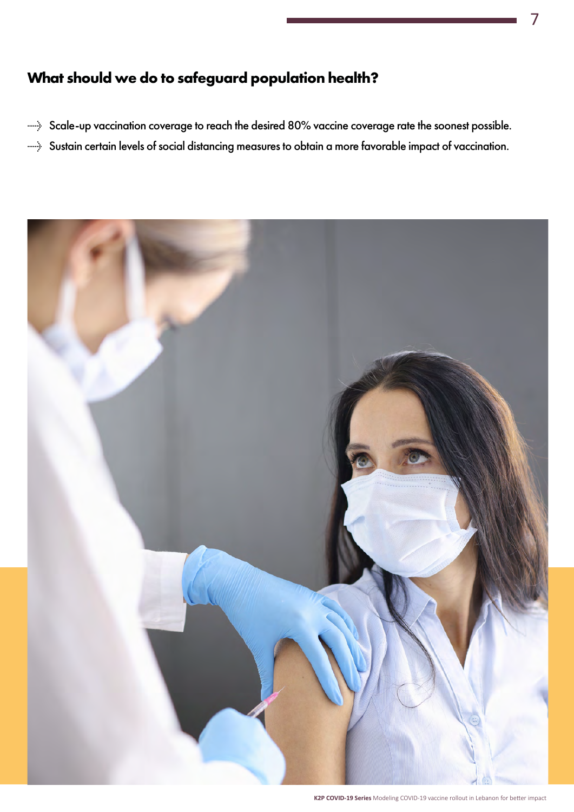# **What should we do to safeguard population health?**

- → Scale-up vaccination coverage to reach the desired 80% vaccine coverage rate the soonest possible.
- → Sustain certain levels of social distancing measures to obtain a more favorable impact of vaccination.



**K2P COVID-19 Series** Modeling COVID-19 vaccine rollout in Lebanon for better impact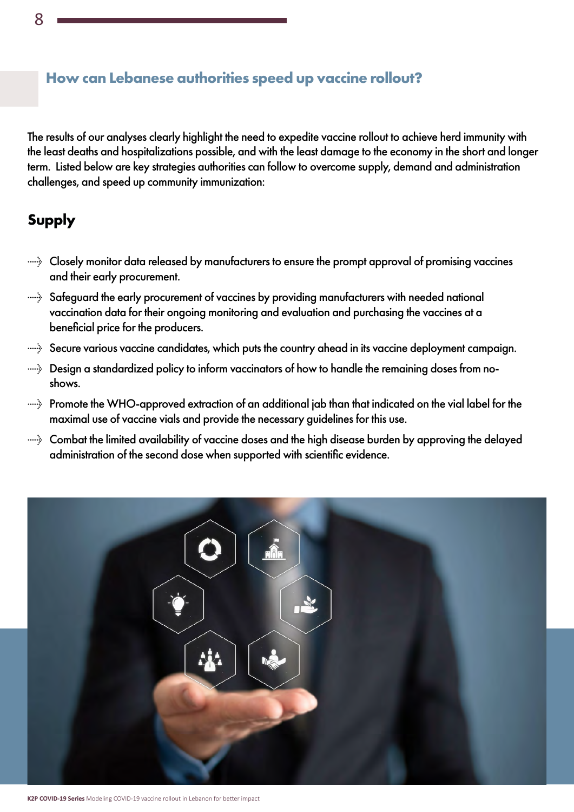#### **How can Lebanese authorities speed up vaccine rollout?**

The results of our analyses clearly highlight the need to expedite vaccine rollout to achieve herd immunity with the least deaths and hospitalizations possible, and with the least damage to the economy in the short and longer term. Listed below are key strategies authorities can follow to overcome supply, demand and administration challenges, and speed up community immunization:

# **Supply**

- $\rightarrow$  Closely monitor data released by manufacturers to ensure the prompt approval of promising vaccines and their early procurement.
- → Safeguard the early procurement of vaccines by providing manufacturers with needed national vaccination data for their ongoing monitoring and evaluation and purchasing the vaccines at a beneficial price for the producers.
- $\rightarrow$  Secure various vaccine candidates, which puts the country ahead in its vaccine deployment campaign.
- → Design a standardized policy to inform vaccinators of how to handle the remaining doses from noshows.
- → Promote the WHO-approved extraction of an additional jab than that indicated on the vial label for the maximal use of vaccine vials and provide the necessary guidelines for this use.
- $\rightarrow$  Combat the limited availability of vaccine doses and the high disease burden by approving the delayed administration of the second dose when supported with scientific evidence.



**K2P COVID-19 Series** Modeling COVID-19 vaccine rollout in Lebanon for better impact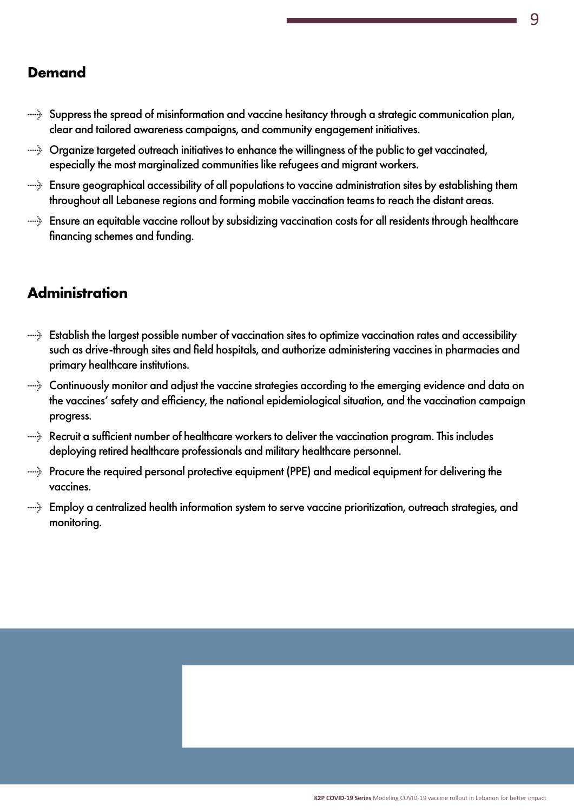#### **Demand**

- → Suppress the spread of misinformation and vaccine hesitancy through a strategic communication plan, clear and tailored awareness campaigns, and community engagement initiatives.
- → Organize targeted outreach initiatives to enhance the willingness of the public to get vaccinated, especially the most marginalized communities like refugees and migrant workers.
- → Ensure geographical accessibility of all populations to vaccine administration sites by establishing them throughout all Lebanese regions and forming mobile vaccination teams to reach the distant areas.
- → Ensure an equitable vaccine rollout by subsidizing vaccination costs for all residents through healthcare financing schemes and funding.

# **Administration**

- → Establish the largest possible number of vaccination sites to optimize vaccination rates and accessibility such as drive-through sites and field hospitals, and authorize administering vaccines in pharmacies and primary healthcare institutions.
- → Continuously monitor and adjust the vaccine strategies according to the emerging evidence and data on the vaccines' safety and efficiency, the national epidemiological situation, and the vaccination campaign progress.
- $\rightarrow$  Recruit a sufficient number of healthcare workers to deliver the vaccination program. This includes deploying retired healthcare professionals and military healthcare personnel.
- → Procure the required personal protective equipment (PPE) and medical equipment for delivering the vaccines.
- → Employ a centralized health information system to serve vaccine prioritization, outreach strategies, and monitoring.